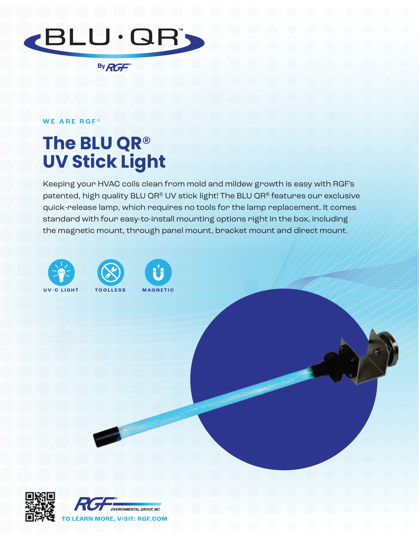

By RGF

## **WE ARE RGF ®**

## **The BLU QR**® **UV Stick Light**

Keeping your HVAC coils clean from mold and mildew growth is easy with RGF's patented, high quality BLU QR® UV stick light! The BLU QR® features our exclusive quick-release lamp, which requires no tools for the lamp replacement. It comes standard with four easy-to-install mounting options right in the box, including the magnetic mount, through panel mount, bracket mount and direct mount.